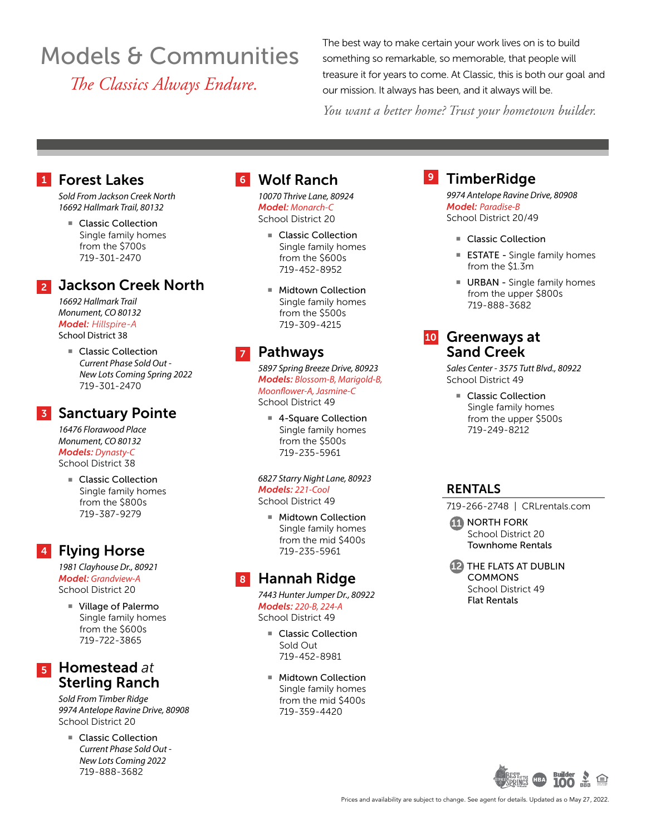## Models & Communities *The Classics Always Endure.*

The best way to make certain your work lives on is to build something so remarkable, so memorable, that people will treasure it for years to come. At Classic, this is both our goal and our mission. It always has been, and it always will be.

*You want a better home? Trust your hometown builder.*

### Forest Lakes 1 Forest Lakes **1 August 1 State State State 1 August 2 State 1 August 2 State 1 A**

*Sold From Jackson Creek North 16692 Hallmark Trail, 80132*

Classic Collection Single family homes from the \$700s 719-301-2470

### Jackson Creek North 2

*16692 Hallmark Trail Monument, CO 80132 Model: Hillspire-A* School District 38

> ■ Classic Collection *Current Phase Sold Out - New Lots Coming Spring 2022* 719-301-2470

### **3** Sanctuary Pointe

*16476 Florawood Place Monument, CO 80132 Models: Dynasty-C* School District 38

> ■ Classic Collection Single family homes from the \$800s 719-387-9279

### 4 Flying Horse

*1981 Clayhouse Dr., 80921 Model: Grandview-A* School District 20

■ Village of Palermo Single family homes from the \$600s 719-722-3865

### **Sterling Ranch**  $\overline{\bf 5}$  Homestead at

*Sold From Timber Ridge 9974 Antelope Ravine Drive, 80908* School District 20

Classic Collection *Current Phase Sold Out - New Lots Coming 2022* 719-888-3682

*10070 Thrive Lane, 80924 Model: Monarch-C* School District 20

- Classic Collection Single family homes from the \$600s 719-452-8952
- Midtown Collection Single family homes from the \$500s 719-309-4215

### 7 Pathways

*5897 Spring Breeze Drive, 80923 Models: Blossom-B, Marigold-B, Moonflower-A, Jasmine-C* School District 49

■ 4-Square Collection Single family homes from the \$500s 719-235-5961

*6827 Starry Night Lane, 80923 Models: 221-Cool* School District 49

■ Midtown Collection Single family homes from the mid \$400s 719-235-5961

## 8 Hannah Ridge

*7443 Hunter Jumper Dr., 80922 Models: 220-B, 224-A* School District 49

- Classic Collection Sold Out 719-452-8981
- Midtown Collection Single family homes from the mid \$400s 719-359-4420

## **9** TimberRidge

*9974 Antelope Ravine Drive, 80908 Model: Paradise-B* School District 20/49

- Classic Collection
- **ESTATE Single family homes** from the \$1.3m
- $\blacksquare$  URBAN Single family homes from the upper \$800s 719-888-3682

# 10 Greenways at Sand Creek

*Sales Center - 3575 Tutt Blvd., 80922* School District 49

■ Classic Collection Single family homes from the upper \$500s 719-249-8212

### RENTALS

719-266-2748 | CRLrentals.com

 $\bf{11}$  north fork School District 20 Townhome Rentals

 $12$  THE FLATS AT DUBLIN **COMMONS** School District 49 Flat Rentals